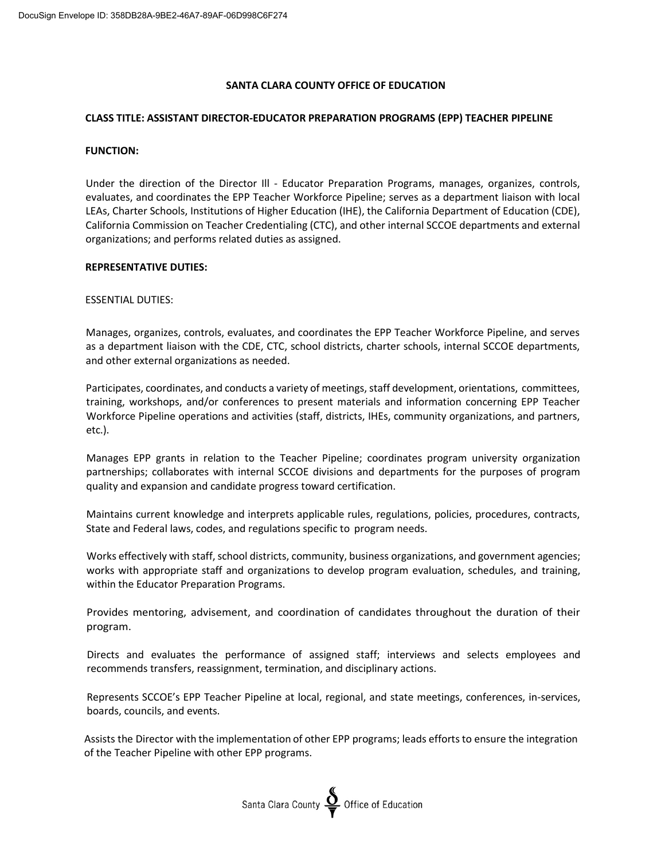## **SANTA CLARA COUNTY OFFICE OF EDUCATION**

## **CLASS TITLE: ASSISTANT DIRECTOR-EDUCATOR PREPARATION PROGRAMS (EPP) TEACHER PIPELINE**

### **FUNCTION:**

Under the direction of the Director Ill - Educator Preparation Programs, manages, organizes, controls, evaluates, and coordinates the EPP Teacher Workforce Pipeline; serves as a department liaison with local LEAs, Charter Schools, Institutions of Higher Education (IHE), the California Department of Education (CDE), California Commission on Teacher Credentialing (CTC), and other internal SCCOE departments and external organizations; and performs related duties as assigned.

### **REPRESENTATIVE DUTIES:**

ESSENTIAL DUTIES:

Manages, organizes, controls, evaluates, and coordinates the EPP Teacher Workforce Pipeline, and serves as a department liaison with the CDE, CTC, school districts, charter schools, internal SCCOE departments, and other external organizations as needed.

Participates, coordinates, and conducts a variety of meetings, staff development, orientations, committees, training, workshops, and/or conferences to present materials and information concerning EPP Teacher Workforce Pipeline operations and activities (staff, districts, IHEs, community organizations, and partners, etc.).

Manages EPP grants in relation to the Teacher Pipeline; coordinates program university organization partnerships; collaborates with internal SCCOE divisions and departments for the purposes of program quality and expansion and candidate progress toward certification.

Maintains current knowledge and interprets applicable rules, regulations, policies, procedures, contracts, State and Federal laws, codes, and regulations specific to program needs.

Works effectively with staff, school districts, community, business organizations, and government agencies; works with appropriate staff and organizations to develop program evaluation, schedules, and training, within the Educator Preparation Programs.

Provides mentoring, advisement, and coordination of candidates throughout the duration of their program.

Directs and evaluates the performance of assigned staff; interviews and selects employees and recommends transfers, reassignment, termination, and disciplinary actions.

Represents SCCOE's EPP Teacher Pipeline at local, regional, and state meetings, conferences, in-services, boards, councils, and events.

Assists the Director with the implementation of other EPP programs; leads efforts to ensure the integration of the Teacher Pipeline with other EPP programs.

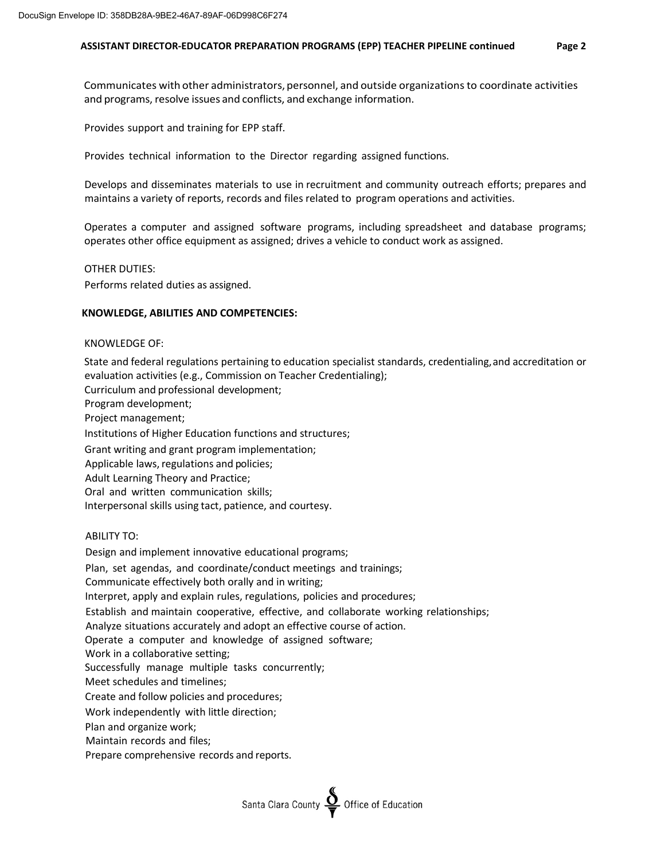## **ASSISTANT DIRECTOR-EDUCATOR PREPARATION PROGRAMS (EPP) TEACHER PIPELINE continued Page 2**

Communicates with other administrators, personnel, and outside organizationsto coordinate activities and programs, resolve issues and conflicts, and exchange information.

Provides support and training for EPP staff.

Provides technical information to the Director regarding assigned functions.

Develops and disseminates materials to use in recruitment and community outreach efforts; prepares and maintains a variety of reports, records and files related to program operations and activities.

Operates a computer and assigned software programs, including spreadsheet and database programs; operates other office equipment as assigned; drives a vehicle to conduct work as assigned.

### OTHER DUTIES:

Performs related duties as assigned.

## **KNOWLEDGE, ABILITIES AND COMPETENCIES:**

### KNOWLEDGE OF:

State and federal regulations pertaining to education specialist standards, credentialing,and accreditation or evaluation activities (e.g., Commission on Teacher Credentialing);

Curriculum and professional development; Program development; Project management; Institutions of Higher Education functions and structures; Grant writing and grant program implementation; Applicable laws, regulations and policies; Adult Learning Theory and Practice; Oral and written communication skills; Interpersonal skills using tact, patience, and courtesy.

## ABILITY TO:

Design and implement innovative educational programs; Plan, set agendas, and coordinate/conduct meetings and trainings; Communicate effectively both orally and in writing; Interpret, apply and explain rules, regulations, policies and procedures; Establish and maintain cooperative, effective, and collaborate working relationships; Analyze situations accurately and adopt an effective course of action. Operate a computer and knowledge of assigned software; Work in a collaborative setting; Successfully manage multiple tasks concurrently; Meet schedules and timelines; Create and follow policies and procedures; Work independently with little direction; Plan and organize work; Maintain records and files; Prepare comprehensive records and reports.